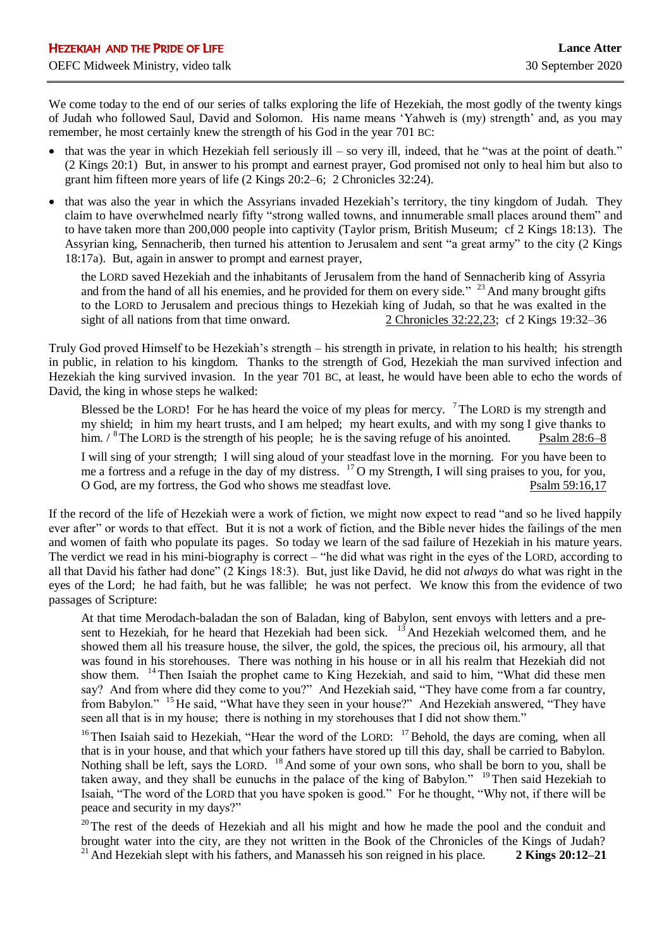We come today to the end of our series of talks exploring the life of Hezekiah, the most godly of the twenty kings of Judah who followed Saul, David and Solomon. His name means 'Yahweh is (my) strength' and, as you may remember, he most certainly knew the strength of his God in the year 701 BC:

- that was the year in which Hezekiah fell seriously ill so very ill, indeed, that he "was at the point of death." (2 Kings 20:1) But, in answer to his prompt and earnest prayer, God promised not only to heal him but also to grant him fifteen more years of life (2 Kings 20:2–6; 2 Chronicles 32:24).
- that was also the year in which the Assyrians invaded Hezekiah's territory, the tiny kingdom of Judah. They claim to have overwhelmed nearly fifty "strong walled towns, and innumerable small places around them" and to have taken more than 200,000 people into captivity (Taylor prism, British Museum; cf 2 Kings 18:13). The Assyrian king, Sennacherib, then turned his attention to Jerusalem and sent "a great army" to the city (2 Kings 18:17a). But, again in answer to prompt and earnest prayer,

the LORD saved Hezekiah and the inhabitants of Jerusalem from the hand of Sennacherib king of Assyria and from the hand of all his enemies, and he provided for them on every side." <sup>23</sup> And many brought gifts to the LORD to Jerusalem and precious things to Hezekiah king of Judah, so that he was exalted in the sight of all nations from that time onward. 2 Chronicles 32:22,23; cf 2 Kings 19:32–36

Truly God proved Himself to be Hezekiah's strength – his strength in private, in relation to his health; his strength in public, in relation to his kingdom. Thanks to the strength of God, Hezekiah the man survived infection and Hezekiah the king survived invasion. In the year 701 BC, at least, he would have been able to echo the words of David, the king in whose steps he walked:

Blessed be the LORD! For he has heard the voice of my pleas for mercy. <sup>7</sup>The LORD is my strength and my shield; in him my heart trusts, and I am helped; my heart exults, and with my song I give thanks to him.  $\frac{1}{8}$  The LORD is the strength of his people; he is the saving refuge of his anointed. Psalm 28:6–8

I will sing of your strength; I will sing aloud of your steadfast love in the morning. For you have been to me a fortress and a refuge in the day of my distress. <sup>17</sup> O my Strength, I will sing praises to you, for you, O God, are my fortress, the God who shows me steadfast love. Psalm 59:16,17

If the record of the life of Hezekiah were a work of fiction, we might now expect to read "and so he lived happily ever after" or words to that effect. But it is not a work of fiction, and the Bible never hides the failings of the men and women of faith who populate its pages. So today we learn of the sad failure of Hezekiah in his mature years. The verdict we read in his mini-biography is correct – "he did what was right in the eyes of the LORD, according to all that David his father had done" (2 Kings 18:3). But, just like David, he did not *always* do what was right in the eyes of the Lord; he had faith, but he was fallible; he was not perfect. We know this from the evidence of two passages of Scripture:

At that time Merodach-baladan the son of Baladan, king of Babylon, sent envoys with letters and a present to Hezekiah, for he heard that Hezekiah had been sick. <sup>13</sup> And Hezekiah welcomed them, and he showed them all his treasure house, the silver, the gold, the spices, the precious oil, his armoury, all that was found in his storehouses. There was nothing in his house or in all his realm that Hezekiah did not show them. <sup>14</sup>Then Isaiah the prophet came to King Hezekiah, and said to him, "What did these men say? And from where did they come to you?" And Hezekiah said, "They have come from a far country, from Babylon." <sup>15</sup>He said, "What have they seen in your house?" And Hezekiah answered, "They have seen all that is in my house; there is nothing in my storehouses that I did not show them."

<sup>16</sup>Then Isaiah said to Hezekiah, "Hear the word of the LORD: <sup>17</sup>Behold, the days are coming, when all that is in your house, and that which your fathers have stored up till this day, shall be carried to Babylon. Nothing shall be left, says the LORD. <sup>18</sup> And some of your own sons, who shall be born to you, shall be taken away, and they shall be eunuchs in the palace of the king of Babylon." <sup>19</sup> Then said Hezekiah to Isaiah, "The word of the LORD that you have spoken is good." For he thought, "Why not, if there will be peace and security in my days?"

<sup>20</sup>The rest of the deeds of Hezekiah and all his might and how he made the pool and the conduit and brought water into the city, are they not written in the Book of the Chronicles of the Kings of Judah? <sup>21</sup> And Hezekiah slept with his fathers, and Manasseh his son reigned in his place. **2 Kings 20:12–21**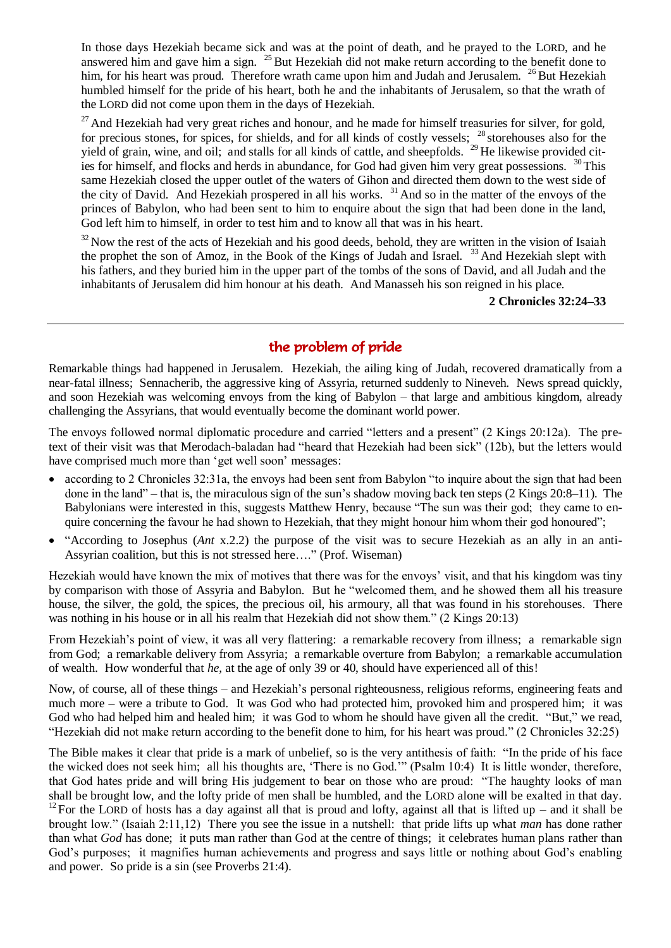In those days Hezekiah became sick and was at the point of death, and he prayed to the LORD, and he answered him and gave him a sign. <sup>25</sup> But Hezekiah did not make return according to the benefit done to him, for his heart was proud. Therefore wrath came upon him and Judah and Jerusalem. <sup>26</sup> But Hezekiah humbled himself for the pride of his heart, both he and the inhabitants of Jerusalem, so that the wrath of the LORD did not come upon them in the days of Hezekiah.

 $^{27}$  And Hezekiah had very great riches and honour, and he made for himself treasuries for silver, for gold, for precious stones, for spices, for shields, and for all kinds of costly vessels;  $28$  storehouses also for the yield of grain, wine, and oil; and stalls for all kinds of cattle, and sheepfolds. <sup>29</sup> He likewise provided cities for himself, and flocks and herds in abundance, for God had given him very great possessions. <sup>30</sup>This same Hezekiah closed the upper outlet of the waters of Gihon and directed them down to the west side of the city of David. And Hezekiah prospered in all his works. <sup>31</sup> And so in the matter of the envoys of the princes of Babylon, who had been sent to him to enquire about the sign that had been done in the land, God left him to himself, in order to test him and to know all that was in his heart.

 $32$  Now the rest of the acts of Hezekiah and his good deeds, behold, they are written in the vision of Isaiah the prophet the son of Amoz, in the Book of the Kings of Judah and Israel. <sup>33</sup> And Hezekiah slept with his fathers, and they buried him in the upper part of the tombs of the sons of David, and all Judah and the inhabitants of Jerusalem did him honour at his death. And Manasseh his son reigned in his place.

**2 Chronicles 32:24–33**

# the problem of pride

Remarkable things had happened in Jerusalem. Hezekiah, the ailing king of Judah, recovered dramatically from a near-fatal illness; Sennacherib, the aggressive king of Assyria, returned suddenly to Nineveh. News spread quickly, and soon Hezekiah was welcoming envoys from the king of Babylon – that large and ambitious kingdom, already challenging the Assyrians, that would eventually become the dominant world power.

The envoys followed normal diplomatic procedure and carried "letters and a present" (2 Kings 20:12a). The pretext of their visit was that Merodach-baladan had "heard that Hezekiah had been sick" (12b), but the letters would have comprised much more than 'get well soon' messages:

- according to 2 Chronicles 32:31a, the envoys had been sent from Babylon "to inquire about the sign that had been done in the land" – that is, the miraculous sign of the sun's shadow moving back ten steps (2 Kings 20:8–11). The Babylonians were interested in this, suggests Matthew Henry, because "The sun was their god; they came to enquire concerning the favour he had shown to Hezekiah, that they might honour him whom their god honoured";
- "According to Josephus (*Ant* x.2.2) the purpose of the visit was to secure Hezekiah as an ally in an anti-Assyrian coalition, but this is not stressed here…." (Prof. Wiseman)

Hezekiah would have known the mix of motives that there was for the envoys' visit, and that his kingdom was tiny by comparison with those of Assyria and Babylon. But he "welcomed them, and he showed them all his treasure house, the silver, the gold, the spices, the precious oil, his armoury, all that was found in his storehouses. There was nothing in his house or in all his realm that Hezekiah did not show them." (2 Kings 20:13)

From Hezekiah's point of view, it was all very flattering: a remarkable recovery from illness; a remarkable sign from God; a remarkable delivery from Assyria; a remarkable overture from Babylon; a remarkable accumulation of wealth. How wonderful that *he*, at the age of only 39 or 40, should have experienced all of this!

Now, of course, all of these things – and Hezekiah's personal righteousness, religious reforms, engineering feats and much more – were a tribute to God. It was God who had protected him, provoked him and prospered him; it was God who had helped him and healed him; it was God to whom he should have given all the credit. "But," we read, "Hezekiah did not make return according to the benefit done to him, for his heart was proud." (2 Chronicles 32:25)

The Bible makes it clear that pride is a mark of unbelief, so is the very antithesis of faith: "In the pride of his face the wicked does not seek him; all his thoughts are, 'There is no God.'" (Psalm 10:4) It is little wonder, therefore, that God hates pride and will bring His judgement to bear on those who are proud: "The haughty looks of man shall be brought low, and the lofty pride of men shall be humbled, and the LORD alone will be exalted in that day. <sup>12</sup> For the LORD of hosts has a day against all that is proud and lofty, against all that is lifted up – and it shall be brought low." (Isaiah 2:11,12) There you see the issue in a nutshell: that pride lifts up what *man* has done rather than what *God* has done; it puts man rather than God at the centre of things; it celebrates human plans rather than God's purposes; it magnifies human achievements and progress and says little or nothing about God's enabling and power. So pride is a sin (see Proverbs 21:4).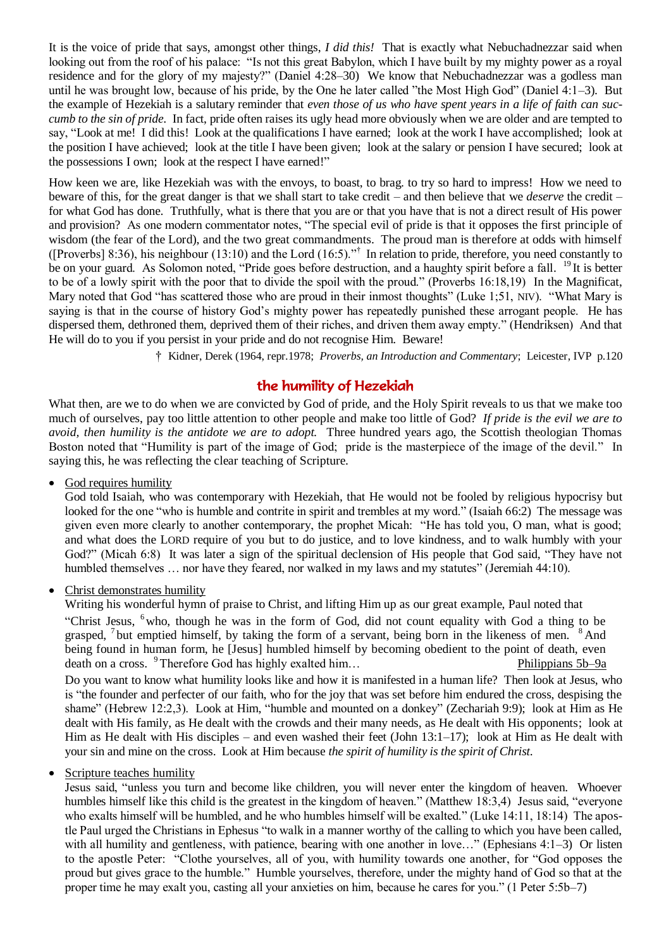It is the voice of pride that says, amongst other things, *I did this!* That is exactly what Nebuchadnezzar said when looking out from the roof of his palace: "Is not this great Babylon, which I have built by my mighty power as a royal residence and for the glory of my majesty?" (Daniel 4:28–30) We know that Nebuchadnezzar was a godless man until he was brought low, because of his pride, by the One he later called "the Most High God" (Daniel 4:1–3). But the example of Hezekiah is a salutary reminder that *even those of us who have spent years in a life of faith can succumb to the sin of pride*. In fact, pride often raises its ugly head more obviously when we are older and are tempted to say, "Look at me! I did this! Look at the qualifications I have earned; look at the work I have accomplished; look at the position I have achieved; look at the title I have been given; look at the salary or pension I have secured; look at the possessions I own; look at the respect I have earned!"

How keen we are, like Hezekiah was with the envoys, to boast, to brag. to try so hard to impress! How we need to beware of this, for the great danger is that we shall start to take credit – and then believe that we *deserve* the credit – for what God has done. Truthfully, what is there that you are or that you have that is not a direct result of His power and provision? As one modern commentator notes, "The special evil of pride is that it opposes the first principle of wisdom (the fear of the Lord), and the two great commandments. The proud man is therefore at odds with himself ([Proverbs] 8:36), his neighbour (13:10) and the Lord (16:5)."<sup>†</sup> In relation to pride, therefore, you need constantly to be on your guard. As Solomon noted, "Pride goes before destruction, and a haughty spirit before a fall. <sup>19</sup> It is better to be of a lowly spirit with the poor that to divide the spoil with the proud." (Proverbs 16:18,19) In the Magnificat, Mary noted that God "has scattered those who are proud in their inmost thoughts" (Luke 1;51, NIV). "What Mary is saying is that in the course of history God's mighty power has repeatedly punished these arrogant people. He has dispersed them, dethroned them, deprived them of their riches, and driven them away empty." (Hendriksen) And that He will do to you if you persist in your pride and do not recognise Him. Beware!

† Kidner, Derek (1964, repr.1978; *Proverbs, an Introduction and Commentary*; Leicester, IVP p.120

## the humility of Hezekiah

What then, are we to do when we are convicted by God of pride, and the Holy Spirit reveals to us that we make too much of ourselves, pay too little attention to other people and make too little of God? *If pride is the evil we are to avoid, then humility is the antidote we are to adopt.* Three hundred years ago, the Scottish theologian Thomas Boston noted that "Humility is part of the image of God; pride is the masterpiece of the image of the devil." In saying this, he was reflecting the clear teaching of Scripture.

#### God requires humility

God told Isaiah, who was contemporary with Hezekiah, that He would not be fooled by religious hypocrisy but looked for the one "who is humble and contrite in spirit and trembles at my word." (Isaiah 66:2) The message was given even more clearly to another contemporary, the prophet Micah: "He has told you, O man, what is good; and what does the LORD require of you but to do justice, and to love kindness, and to walk humbly with your God?" (Micah 6:8) It was later a sign of the spiritual declension of His people that God said, "They have not humbled themselves ... nor have they feared, nor walked in my laws and my statutes" (Jeremiah 44:10).

#### • Christ demonstrates humility

Writing his wonderful hymn of praise to Christ, and lifting Him up as our great example, Paul noted that

"Christ Jesus, <sup>6</sup> who, though he was in the form of God, did not count equality with God a thing to be grasped, <sup>7</sup> but emptied himself, by taking the form of a servant, being born in the likeness of men. <sup>8</sup> And being found in human form, he [Jesus] humbled himself by becoming obedient to the point of death, even death on a cross. <sup>9</sup>Therefore God has highly exalted him…

Do you want to know what humility looks like and how it is manifested in a human life? Then look at Jesus, who is "the founder and perfecter of our faith, who for the joy that was set before him endured the cross, despising the shame" (Hebrew 12:2,3). Look at Him, "humble and mounted on a donkey" (Zechariah 9:9); look at Him as He dealt with His family, as He dealt with the crowds and their many needs, as He dealt with His opponents; look at Him as He dealt with His disciples – and even washed their feet (John 13:1–17); look at Him as He dealt with your sin and mine on the cross. Look at Him because *the spirit of humility is the spirit of Christ*.

### Scripture teaches humility

Jesus said, "unless you turn and become like children, you will never enter the kingdom of heaven. Whoever humbles himself like this child is the greatest in the kingdom of heaven." (Matthew 18:3,4) Jesus said, "everyone who exalts himself will be humbled, and he who humbles himself will be exalted." (Luke 14:11, 18:14) The apostle Paul urged the Christians in Ephesus "to walk in a manner worthy of the calling to which you have been called, with all humility and gentleness, with patience, bearing with one another in love..." (Ephesians 4:1–3) Or listen to the apostle Peter: "Clothe yourselves, all of you, with humility towards one another, for "God opposes the proud but gives grace to the humble." Humble yourselves, therefore, under the mighty hand of God so that at the proper time he may exalt you, casting all your anxieties on him, because he cares for you." (1 Peter 5:5b–7)